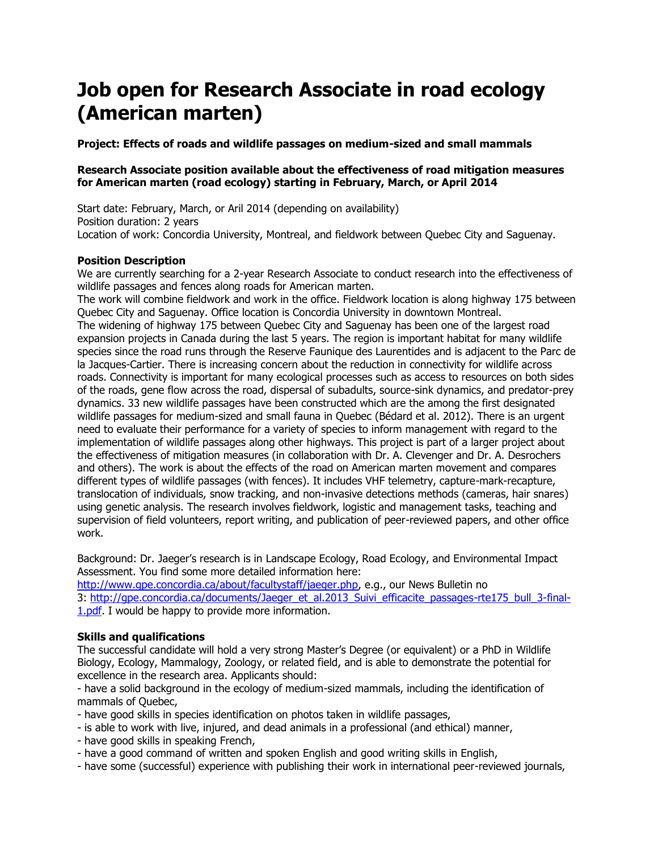# **Job open for Research Associate in road ecology (American marten)**

**Project: Effects of roads and wildlife passages on medium-sized and small mammals**

### **Research Associate position available about the effectiveness of road mitigation measures for American marten (road ecology) starting in February, March, or April 2014**

Start date: February, March, or Aril 2014 (depending on availability) Position duration: 2 years Location of work: Concordia University, Montreal, and fieldwork between Quebec City and Saguenay.

## **Position Description**

We are currently searching for a 2-year Research Associate to conduct research into the effectiveness of wildlife passages and fences along roads for American marten.

The work will combine fieldwork and work in the office. Fieldwork location is along highway 175 between Quebec City and Saguenay. Office location is Concordia University in downtown Montreal. The widening of highway 175 between Quebec City and Saguenay has been one of the largest road expansion projects in Canada during the last 5 years. The region is important habitat for many wildlife species since the road runs through the Reserve Faunique des Laurentides and is adjacent to the Parc de la Jacques-Cartier. There is increasing concern about the reduction in connectivity for wildlife across roads. Connectivity is important for many ecological processes such as access to resources on both sides of the roads, gene flow across the road, dispersal of subadults, source-sink dynamics, and predator-prey dynamics. 33 new wildlife passages have been constructed which are the among the first designated wildlife passages for medium-sized and small fauna in Quebec (Bédard et al. 2012). There is an urgent need to evaluate their performance for a variety of species to inform management with regard to the implementation of wildlife passages along other highways. This project is part of a larger project about the effectiveness of mitigation measures (in collaboration with Dr. A. Clevenger and Dr. A. Desrochers and others). The work is about the effects of the road on American marten movement and compares different types of wildlife passages (with fences). It includes VHF telemetry, capture-mark-recapture, translocation of individuals, snow tracking, and non-invasive detections methods (cameras, hair snares) using genetic analysis. The research involves fieldwork, logistic and management tasks, teaching and supervision of field volunteers, report writing, and publication of peer-reviewed papers, and other office work.

Background: Dr. Jaeger's research is in Landscape Ecology, Road Ecology, and Environmental Impact Assessment. You find some more detailed information here:

[http://www.gpe.concordia.ca/about/facultystaff/jaeger.php,](http://www.gpe.concordia.ca/about/facultystaff/jaeger.php) e.g., our News Bulletin no 3: http://qpe.concordia.ca/documents/Jaeger\_et\_al.2013\_Suivi\_efficacite\_passages-rte175\_bull\_3-final-[1.pdf.](http://gpe.concordia.ca/documents/Jaeger_et_al.2013_Suivi_efficacite_passages-rte175_bull_3-final-1.pdf) I would be happy to provide more information.

### **Skills and qualifications**

The successful candidate will hold a very strong Master's Degree (or equivalent) or a PhD in Wildlife Biology, Ecology, Mammalogy, Zoology, or related field, and is able to demonstrate the potential for excellence in the research area. Applicants should:

- have a solid background in the ecology of medium-sized mammals, including the identification of mammals of Quebec,

- have good skills in species identification on photos taken in wildlife passages,

- is able to work with live, injured, and dead animals in a professional (and ethical) manner,
- have good skills in speaking French,
- have a good command of written and spoken English and good writing skills in English,

- have some (successful) experience with publishing their work in international peer-reviewed journals,